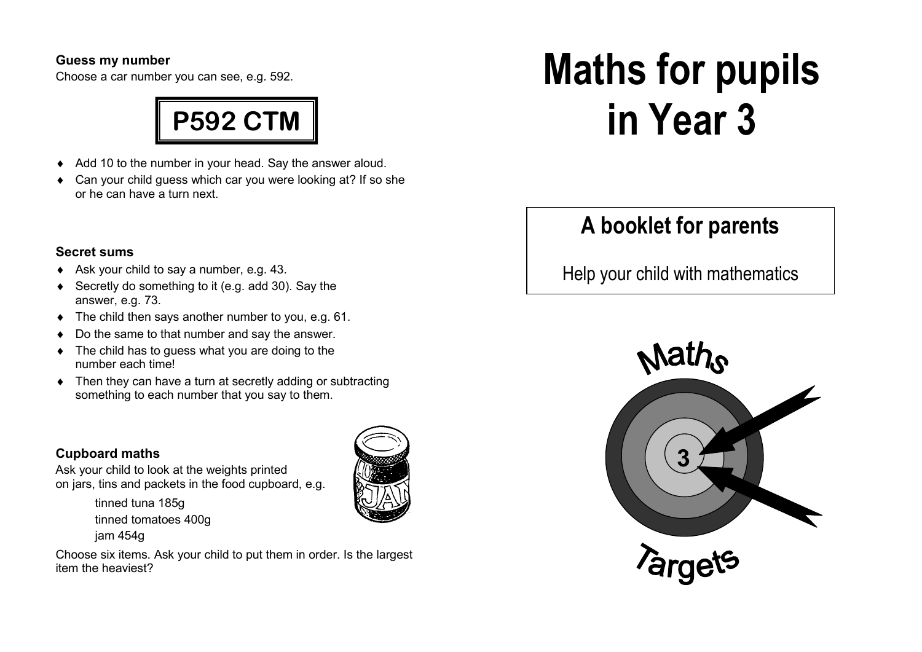#### **Guess my number**

Choose a car number you can see, e.g. 592.



- ♦ Add 10 to the number in your head. Say the answer aloud.
- ♦ Can your child guess which car you were looking at? If so she or he can have a turn next.

# **Secret sums**

- ♦ Ask your child to say a number, e.g. 43.
- ♦ Secretly do something to it (e.g. add 30). Say theanswer, e.g. 73.
- ♦ The child then says another number to you, e.g. 61.
- ♦ Do the same to that number and say the answer.
- ♦ The child has to guess what you are doing to the number each time!
- ♦ Then they can have a turn at secretly adding or subtracting something to each number that you say to them.

# **Cupboard maths**

jam 454g

tinned tuna 185g tinned tomatoes 400g

 Ask your child to look at the weights printed on jars, tins and packets in the food cupboard, e.g.



Choose six items. Ask your child to put them in order. Is the largest item the heaviest?

# **Maths for pupils in Year 3**

# **A booklet for parents**

Help your child with mathematics